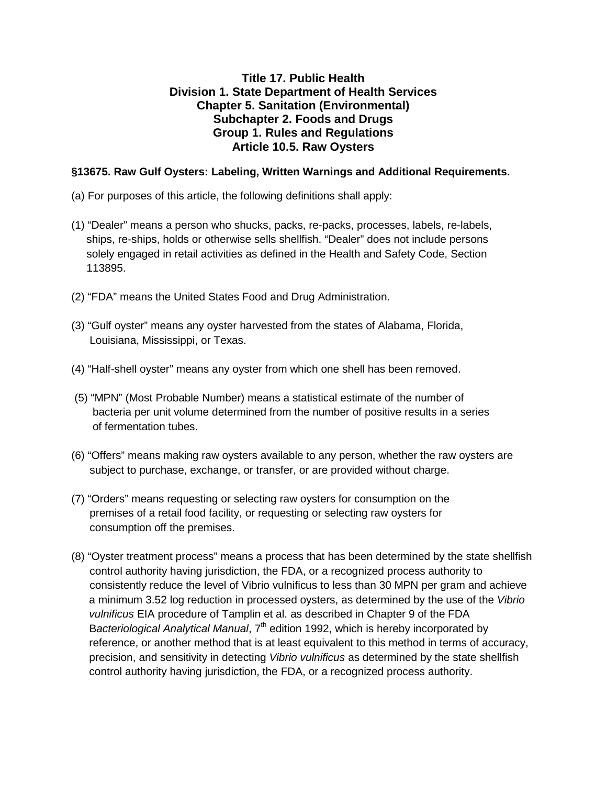## **Title 17. Public Health Division 1. State Department of Health Services Chapter 5. Sanitation (Environmental) Subchapter 2. Foods and Drugs Group 1. Rules and Regulations Article 10.5. Raw Oysters**

### **§13675. Raw Gulf Oysters: Labeling, Written Warnings and Additional Requirements.**

- (a) For purposes of this article, the following definitions shall apply:
- (1) "Dealer" means a person who shucks, packs, re-packs, processes, labels, re-labels, ships, re-ships, holds or otherwise sells shellfish. "Dealer" does not include persons solely engaged in retail activities as defined in the Health and Safety Code, Section 113895.
- (2) "FDA" means the United States Food and Drug Administration.
- (3) "Gulf oyster" means any oyster harvested from the states of Alabama, Florida, Louisiana, Mississippi, or Texas.
- (4) "Half-shell oyster" means any oyster from which one shell has been removed.
- (5) "MPN" (Most Probable Number) means a statistical estimate of the number of bacteria per unit volume determined from the number of positive results in a series of fermentation tubes.
- (6) "Offers" means making raw oysters available to any person, whether the raw oysters are subject to purchase, exchange, or transfer, or are provided without charge.
- (7) "Orders" means requesting or selecting raw oysters for consumption on the premises of a retail food facility, or requesting or selecting raw oysters for consumption off the premises.
- a minimum 3.52 log reduction in processed oysters, as determined by the use of the *Vibrio vulnificus* EIA procedure of Tamplin et al. as described in Chapter 9 of the FDA (8) "Oyster treatment process" means a process that has been determined by the state shellfish control authority having jurisdiction, the FDA, or a recognized process authority to consistently reduce the level of Vibrio vulnificus to less than 30 MPN per gram and achieve Bacteriological Analytical Manual, 7<sup>th</sup> edition 1992, which is hereby incorporated by reference, or another method that is at least equivalent to this method in terms of accuracy, precision, and sensitivity in detecting *Vibrio vulnificus* as determined by the state shellfish control authority having jurisdiction, the FDA, or a recognized process authority.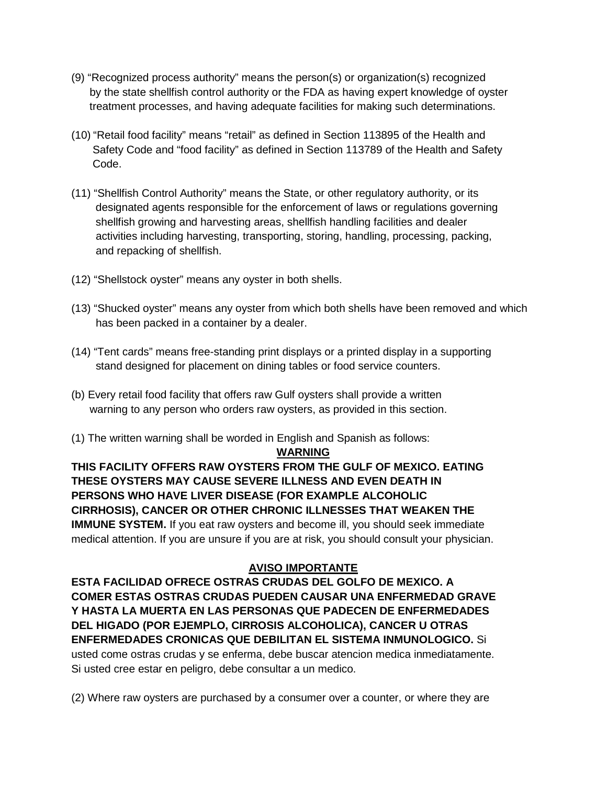- (9) "Recognized process authority" means the person(s) or organization(s) recognized by the state shellfish control authority or the FDA as having expert knowledge of oyster treatment processes, and having adequate facilities for making such determinations.
- (10) "Retail food facility" means "retail" as defined in Section 113895 of the Health and Safety Code and "food facility" as defined in Section 113789 of the Health and Safety Code.
- (11) "Shellfish Control Authority" means the State, or other regulatory authority, or its designated agents responsible for the enforcement of laws or regulations governing shellfish growing and harvesting areas, shellfish handling facilities and dealer activities including harvesting, transporting, storing, handling, processing, packing, and repacking of shellfish.
- (12) "Shellstock oyster" means any oyster in both shells.
- (13) "Shucked oyster" means any oyster from which both shells have been removed and which has been packed in a container by a dealer.
- (14) "Tent cards" means free-standing print displays or a printed display in a supporting stand designed for placement on dining tables or food service counters.
- (b) Every retail food facility that offers raw Gulf oysters shall provide a written warning to any person who orders raw oysters, as provided in this section.
- (1) The written warning shall be worded in English and Spanish as follows:

#### **WARNING**

**THIS FACILITY OFFERS RAW OYSTERS FROM THE GULF OF MEXICO. EATING THESE OYSTERS MAY CAUSE SEVERE ILLNESS AND EVEN DEATH IN PERSONS WHO HAVE LIVER DISEASE (FOR EXAMPLE ALCOHOLIC CIRRHOSIS), CANCER OR OTHER CHRONIC ILLNESSES THAT WEAKEN THE IMMUNE SYSTEM.** If you eat raw oysters and become ill, you should seek immediate medical attention. If you are unsure if you are at risk, you should consult your physician.

## **AVISO IMPORTANTE**

 **ENFERMEDADES CRONICAS QUE DEBILITAN EL SISTEMA INMUNOLOGICO.** Si **ESTA FACILIDAD OFRECE OSTRAS CRUDAS DEL GOLFO DE MEXICO. A COMER ESTAS OSTRAS CRUDAS PUEDEN CAUSAR UNA ENFERMEDAD GRAVE Y HASTA LA MUERTA EN LAS PERSONAS QUE PADECEN DE ENFERMEDADES DEL HIGADO (POR EJEMPLO, CIRROSIS ALCOHOLICA), CANCER U OTRAS**  usted come ostras crudas y se enferma, debe buscar atencion medica inmediatamente. Si usted cree estar en peligro, debe consultar a un medico.

(2) Where raw oysters are purchased by a consumer over a counter, or where they are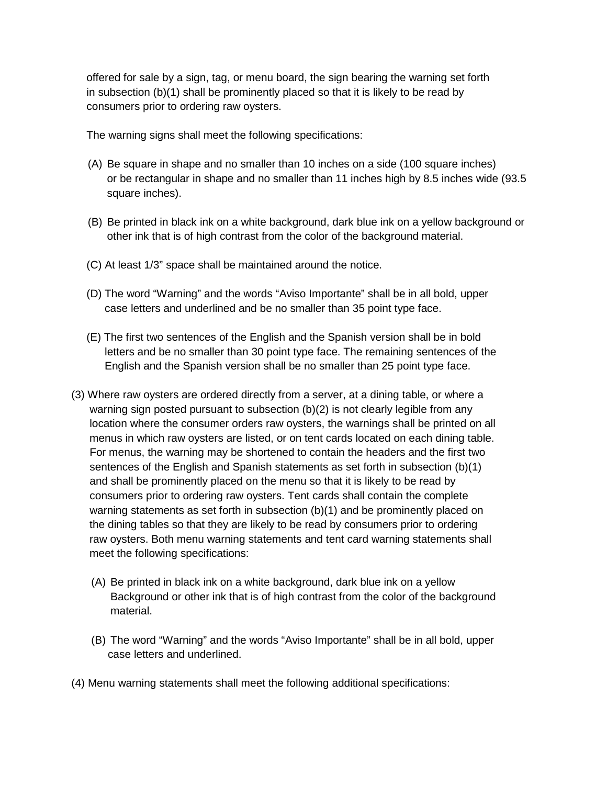offered for sale by a sign, tag, or menu board, the sign bearing the warning set forth in subsection (b)(1) shall be prominently placed so that it is likely to be read by consumers prior to ordering raw oysters.

The warning signs shall meet the following specifications:

- (A) Be square in shape and no smaller than 10 inches on a side (100 square inches) or be rectangular in shape and no smaller than 11 inches high by 8.5 inches wide (93.5 square inches).
- other ink that is of high contrast from the color of the background material. (B) Be printed in black ink on a white background, dark blue ink on a yellow background or
- (C) At least 1/3" space shall be maintained around the notice.
- (D) The word "Warning" and the words "Aviso Importante" shall be in all bold, upper case letters and underlined and be no smaller than 35 point type face.
- (E) The first two sentences of the English and the Spanish version shall be in bold letters and be no smaller than 30 point type face. The remaining sentences of the English and the Spanish version shall be no smaller than 25 point type face.
- (3) Where raw oysters are ordered directly from a server, at a dining table, or where a warning sign posted pursuant to subsection (b)(2) is not clearly legible from any location where the consumer orders raw oysters, the warnings shall be printed on all menus in which raw oysters are listed, or on tent cards located on each dining table. For menus, the warning may be shortened to contain the headers and the first two sentences of the English and Spanish statements as set forth in subsection (b)(1) and shall be prominently placed on the menu so that it is likely to be read by consumers prior to ordering raw oysters. Tent cards shall contain the complete warning statements as set forth in subsection (b)(1) and be prominently placed on the dining tables so that they are likely to be read by consumers prior to ordering raw oysters. Both menu warning statements and tent card warning statements shall meet the following specifications:
	- (A) Be printed in black ink on a white background, dark blue ink on a yellow Background or other ink that is of high contrast from the color of the background material.
	- (B) The word "Warning" and the words "Aviso Importante" shall be in all bold, upper case letters and underlined.
- (4) Menu warning statements shall meet the following additional specifications: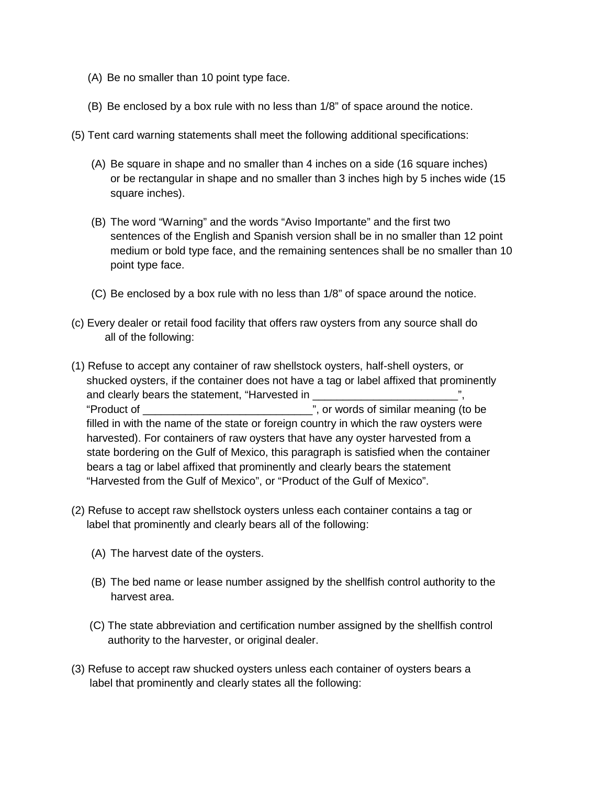- (A) Be no smaller than 10 point type face.
- (B) Be enclosed by a box rule with no less than 1/8" of space around the notice.
- (5) Tent card warning statements shall meet the following additional specifications:
	- square inches). (A) Be square in shape and no smaller than 4 inches on a side (16 square inches) or be rectangular in shape and no smaller than 3 inches high by 5 inches wide (15
	- medium or bold type face, and the remaining sentences shall be no smaller than 10 (B) The word "Warning" and the words "Aviso Importante" and the first two sentences of the English and Spanish version shall be in no smaller than 12 point point type face.
	- (C) Be enclosed by a box rule with no less than 1/8" of space around the notice.
- (c) Every dealer or retail food facility that offers raw oysters from any source shall do all of the following:
- (1) Refuse to accept any container of raw shellstock oysters, half-shell oysters, or shucked oysters, if the container does not have a tag or label affixed that prominently and clearly bears the statement, "Harvested in "Product of \_\_\_\_\_\_\_\_\_\_\_\_\_\_\_\_\_\_\_\_\_\_\_\_\_\_\_\_", or words of similar meaning (to be filled in with the name of the state or foreign country in which the raw oysters were harvested). For containers of raw oysters that have any oyster harvested from a state bordering on the Gulf of Mexico, this paragraph is satisfied when the container bears a tag or label affixed that prominently and clearly bears the statement "Harvested from the Gulf of Mexico", or "Product of the Gulf of Mexico".
- (2) Refuse to accept raw shellstock oysters unless each container contains a tag or label that prominently and clearly bears all of the following:
	- (A) The harvest date of the oysters.
	- (B) The bed name or lease number assigned by the shellfish control authority to the harvest area.
	- (C) The state abbreviation and certification number assigned by the shellfish control authority to the harvester, or original dealer.
- (3) Refuse to accept raw shucked oysters unless each container of oysters bears a label that prominently and clearly states all the following: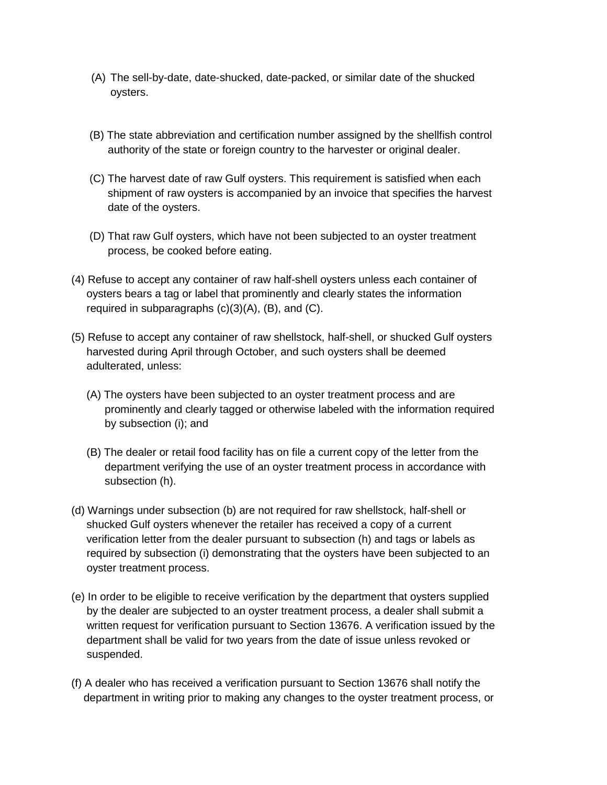- (A) The sell-by-date, date-shucked, date-packed, or similar date of the shucked oysters.
- (B) The state abbreviation and certification number assigned by the shellfish control authority of the state or foreign country to the harvester or original dealer.
- (C) The harvest date of raw Gulf oysters. This requirement is satisfied when each shipment of raw oysters is accompanied by an invoice that specifies the harvest date of the oysters.
- (D) That raw Gulf oysters, which have not been subjected to an oyster treatment process, be cooked before eating.
- (4) Refuse to accept any container of raw half-shell oysters unless each container of oysters bears a tag or label that prominently and clearly states the information required in subparagraphs  $(c)(3)(A)$ ,  $(B)$ , and  $(C)$ .
- (5) Refuse to accept any container of raw shellstock, half-shell, or shucked Gulf oysters harvested during April through October, and such oysters shall be deemed adulterated, unless:
	- (A) The oysters have been subjected to an oyster treatment process and are prominently and clearly tagged or otherwise labeled with the information required by subsection (i); and
	- (B) The dealer or retail food facility has on file a current copy of the letter from the department verifying the use of an oyster treatment process in accordance with subsection (h).
- (d) Warnings under subsection (b) are not required for raw shellstock, half-shell or shucked Gulf oysters whenever the retailer has received a copy of a current verification letter from the dealer pursuant to subsection (h) and tags or labels as required by subsection (i) demonstrating that the oysters have been subjected to an oyster treatment process.
- (e) In order to be eligible to receive verification by the department that oysters supplied by the dealer are subjected to an oyster treatment process, a dealer shall submit a written request for verification pursuant to Section 13676. A verification issued by the department shall be valid for two years from the date of issue unless revoked or suspended.
- (f) A dealer who has received a verification pursuant to Section 13676 shall notify the department in writing prior to making any changes to the oyster treatment process, or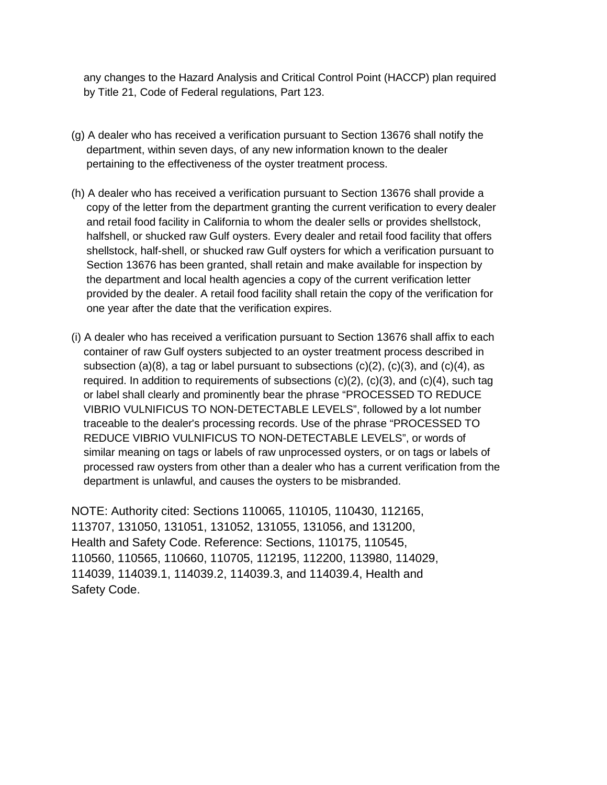any changes to the Hazard Analysis and Critical Control Point (HACCP) plan required by Title 21, Code of Federal regulations, Part 123.

- (g) A dealer who has received a verification pursuant to Section 13676 shall notify the department, within seven days, of any new information known to the dealer pertaining to the effectiveness of the oyster treatment process.
- (h) A dealer who has received a verification pursuant to Section 13676 shall provide a copy of the letter from the department granting the current verification to every dealer and retail food facility in California to whom the dealer sells or provides shellstock, halfshell, or shucked raw Gulf oysters. Every dealer and retail food facility that offers shellstock, half-shell, or shucked raw Gulf oysters for which a verification pursuant to Section 13676 has been granted, shall retain and make available for inspection by the department and local health agencies a copy of the current verification letter provided by the dealer. A retail food facility shall retain the copy of the verification for one year after the date that the verification expires.
- (i) A dealer who has received a verification pursuant to Section 13676 shall affix to each container of raw Gulf oysters subjected to an oyster treatment process described in subsection (a)(8), a tag or label pursuant to subsections  $(c)(2)$ ,  $(c)(3)$ , and  $(c)(4)$ , as required. In addition to requirements of subsections  $(c)(2)$ ,  $(c)(3)$ , and  $(c)(4)$ , such tag or label shall clearly and prominently bear the phrase "PROCESSED TO REDUCE VIBRIO VULNIFICUS TO NON-DETECTABLE LEVELS", followed by a lot number traceable to the dealer's processing records. Use of the phrase "PROCESSED TO REDUCE VIBRIO VULNIFICUS TO NON-DETECTABLE LEVELS", or words of similar meaning on tags or labels of raw unprocessed oysters, or on tags or labels of processed raw oysters from other than a dealer who has a current verification from the department is unlawful, and causes the oysters to be misbranded.

 NOTE: Authority cited: Sections 110065, 110105, 110430, 112165, 113707, 131050, 131051, 131052, 131055, 131056, and 131200, Health and Safety Code. Reference: Sections, 110175, 110545, 110560, 110565, 110660, 110705, 112195, 112200, 113980, 114029, 114039, 114039.1, 114039.2, 114039.3, and 114039.4, Health and Safety Code.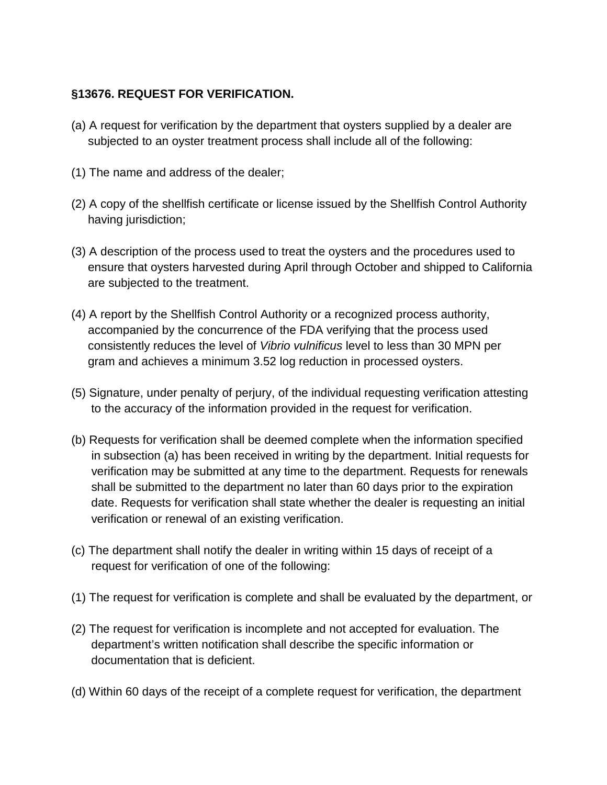# **§13676. REQUEST FOR VERIFICATION.**

- (a) A request for verification by the department that oysters supplied by a dealer are subjected to an oyster treatment process shall include all of the following:
- (1) The name and address of the dealer;
- (2) A copy of the shellfish certificate or license issued by the Shellfish Control Authority having jurisdiction;
- (3) A description of the process used to treat the oysters and the procedures used to ensure that oysters harvested during April through October and shipped to California are subjected to the treatment.
- (4) A report by the Shellfish Control Authority or a recognized process authority, accompanied by the concurrence of the FDA verifying that the process used consistently reduces the level of *Vibrio vulnificus* level to less than 30 MPN per gram and achieves a minimum 3.52 log reduction in processed oysters.
- (5) Signature, under penalty of perjury, of the individual requesting verification attesting to the accuracy of the information provided in the request for verification.
- (b) Requests for verification shall be deemed complete when the information specified in subsection (a) has been received in writing by the department. Initial requests for verification may be submitted at any time to the department. Requests for renewals shall be submitted to the department no later than 60 days prior to the expiration date. Requests for verification shall state whether the dealer is requesting an initial verification or renewal of an existing verification.
- (c) The department shall notify the dealer in writing within 15 days of receipt of a request for verification of one of the following:
- (1) The request for verification is complete and shall be evaluated by the department, or
- (2) The request for verification is incomplete and not accepted for evaluation. The department's written notification shall describe the specific information or documentation that is deficient.
- (d) Within 60 days of the receipt of a complete request for verification, the department